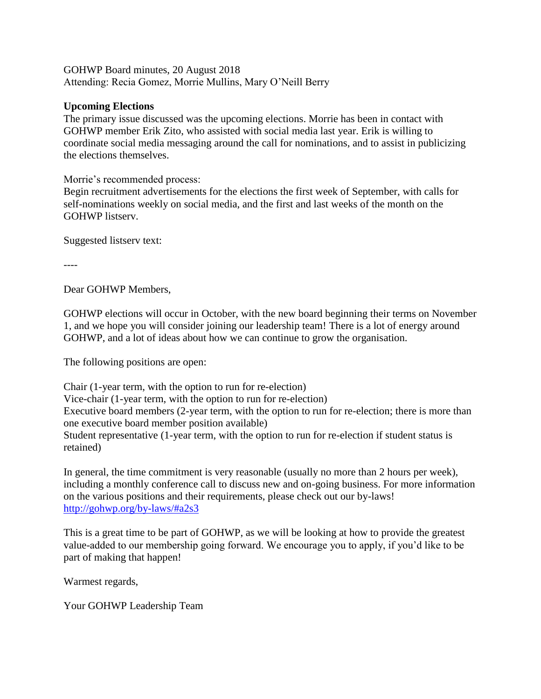GOHWP Board minutes, 20 August 2018 Attending: Recia Gomez, Morrie Mullins, Mary O'Neill Berry

## **Upcoming Elections**

The primary issue discussed was the upcoming elections. Morrie has been in contact with GOHWP member Erik Zito, who assisted with social media last year. Erik is willing to coordinate social media messaging around the call for nominations, and to assist in publicizing the elections themselves.

Morrie's recommended process:

Begin recruitment advertisements for the elections the first week of September, with calls for self-nominations weekly on social media, and the first and last weeks of the month on the GOHWP listserv.

Suggested listserv text:

Dear GOHWP Members,

GOHWP elections will occur in October, with the new board beginning their terms on November 1, and we hope you will consider joining our leadership team! There is a lot of energy around GOHWP, and a lot of ideas about how we can continue to grow the organisation.

The following positions are open:

Chair (1-year term, with the option to run for re-election) Vice-chair (1-year term, with the option to run for re-election) Executive board members (2-year term, with the option to run for re-election; there is more than one executive board member position available) Student representative (1-year term, with the option to run for re-election if student status is retained)

In general, the time commitment is very reasonable (usually no more than 2 hours per week), including a monthly conference call to discuss new and on-going business. For more information on the various positions and their requirements, please check out our by-laws! <http://gohwp.org/by-laws/#a2s3>

This is a great time to be part of GOHWP, as we will be looking at how to provide the greatest value-added to our membership going forward. We encourage you to apply, if you'd like to be part of making that happen!

Warmest regards,

Your GOHWP Leadership Team